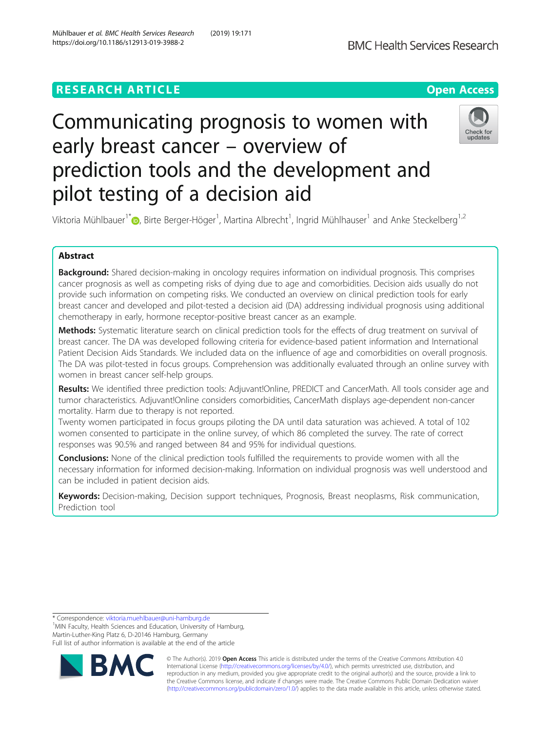# **RESEARCH ARTICLE Example 2018 12:30 The Contract of Contract Contract Open Access**



# Communicating prognosis to women with early breast cancer – overview of prediction tools and the development and pilot testing of a decision aid



Viktoria Mühlbauer<sup>1\*</sup> (**b**[,](http://orcid.org/0000-0002-7358-4073) Birte Berger-Höger<sup>1</sup>, Martina Albrecht<sup>1</sup>, Ingrid Mühlhauser<sup>1</sup> and Anke Steckelberg<sup>1,2</sup>

# Abstract

Background: Shared decision-making in oncology requires information on individual prognosis. This comprises cancer prognosis as well as competing risks of dying due to age and comorbidities. Decision aids usually do not provide such information on competing risks. We conducted an overview on clinical prediction tools for early breast cancer and developed and pilot-tested a decision aid (DA) addressing individual prognosis using additional chemotherapy in early, hormone receptor-positive breast cancer as an example.

Methods: Systematic literature search on clinical prediction tools for the effects of drug treatment on survival of breast cancer. The DA was developed following criteria for evidence-based patient information and International Patient Decision Aids Standards. We included data on the influence of age and comorbidities on overall prognosis. The DA was pilot-tested in focus groups. Comprehension was additionally evaluated through an online survey with women in breast cancer self-help groups.

Results: We identified three prediction tools: Adjuvant!Online, PREDICT and CancerMath. All tools consider age and tumor characteristics. Adjuvant!Online considers comorbidities, CancerMath displays age-dependent non-cancer mortality. Harm due to therapy is not reported.

Twenty women participated in focus groups piloting the DA until data saturation was achieved. A total of 102 women consented to participate in the online survey, of which 86 completed the survey. The rate of correct responses was 90.5% and ranged between 84 and 95% for individual questions.

**Conclusions:** None of the clinical prediction tools fulfilled the requirements to provide women with all the necessary information for informed decision-making. Information on individual prognosis was well understood and can be included in patient decision aids.

Keywords: Decision-making, Decision support techniques, Prognosis, Breast neoplasms, Risk communication, Prediction tool

\* Correspondence: [viktoria.muehlbauer@uni-hamburg.de](mailto:viktoria.muehlbauer@uni-hamburg.de) <sup>1</sup>

<sup>1</sup>MIN Faculty, Health Sciences and Education, University of Hamburg, Martin-Luther-King Platz 6, D-20146 Hamburg, Germany Full list of author information is available at the end of the article



© The Author(s). 2019 **Open Access** This article is distributed under the terms of the Creative Commons Attribution 4.0 International License [\(http://creativecommons.org/licenses/by/4.0/](http://creativecommons.org/licenses/by/4.0/)), which permits unrestricted use, distribution, and reproduction in any medium, provided you give appropriate credit to the original author(s) and the source, provide a link to the Creative Commons license, and indicate if changes were made. The Creative Commons Public Domain Dedication waiver [\(http://creativecommons.org/publicdomain/zero/1.0/](http://creativecommons.org/publicdomain/zero/1.0/)) applies to the data made available in this article, unless otherwise stated.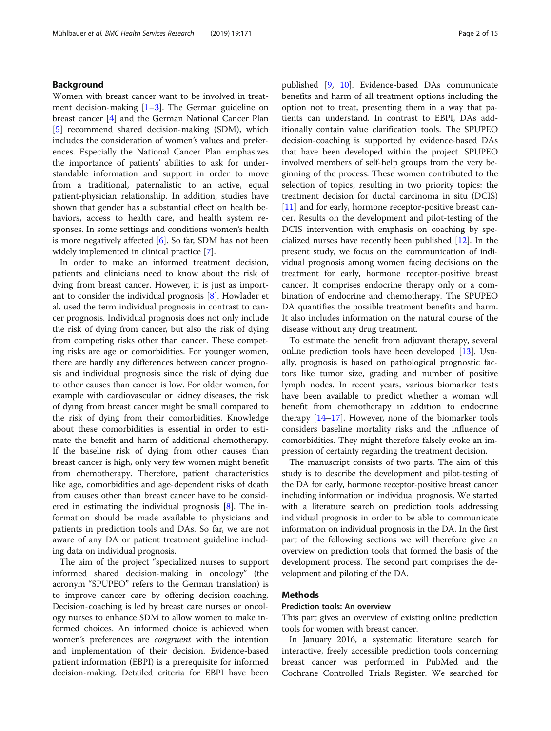# Background

Women with breast cancer want to be involved in treatment decision-making  $[1-3]$  $[1-3]$  $[1-3]$  $[1-3]$ . The German guideline on breast cancer [\[4](#page-12-0)] and the German National Cancer Plan [[5\]](#page-12-0) recommend shared decision-making (SDM), which includes the consideration of women's values and preferences. Especially the National Cancer Plan emphasizes the importance of patients' abilities to ask for understandable information and support in order to move from a traditional, paternalistic to an active, equal patient-physician relationship. In addition, studies have shown that gender has a substantial effect on health behaviors, access to health care, and health system responses. In some settings and conditions women's health is more negatively affected  $[6]$  $[6]$ . So far, SDM has not been widely implemented in clinical practice [\[7](#page-12-0)].

In order to make an informed treatment decision, patients and clinicians need to know about the risk of dying from breast cancer. However, it is just as important to consider the individual prognosis [[8\]](#page-12-0). Howlader et al. used the term individual prognosis in contrast to cancer prognosis. Individual prognosis does not only include the risk of dying from cancer, but also the risk of dying from competing risks other than cancer. These competing risks are age or comorbidities. For younger women, there are hardly any differences between cancer prognosis and individual prognosis since the risk of dying due to other causes than cancer is low. For older women, for example with cardiovascular or kidney diseases, the risk of dying from breast cancer might be small compared to the risk of dying from their comorbidities. Knowledge about these comorbidities is essential in order to estimate the benefit and harm of additional chemotherapy. If the baseline risk of dying from other causes than breast cancer is high, only very few women might benefit from chemotherapy. Therefore, patient characteristics like age, comorbidities and age-dependent risks of death from causes other than breast cancer have to be considered in estimating the individual prognosis [[8](#page-12-0)]. The information should be made available to physicians and patients in prediction tools and DAs. So far, we are not aware of any DA or patient treatment guideline including data on individual prognosis.

The aim of the project "specialized nurses to support informed shared decision-making in oncology" (the acronym "SPUPEO" refers to the German translation) is to improve cancer care by offering decision-coaching. Decision-coaching is led by breast care nurses or oncology nurses to enhance SDM to allow women to make informed choices. An informed choice is achieved when women's preferences are congruent with the intention and implementation of their decision. Evidence-based patient information (EBPI) is a prerequisite for informed decision-making. Detailed criteria for EBPI have been published [[9,](#page-12-0) [10](#page-12-0)]. Evidence-based DAs communicate benefits and harm of all treatment options including the option not to treat, presenting them in a way that patients can understand. In contrast to EBPI, DAs additionally contain value clarification tools. The SPUPEO decision-coaching is supported by evidence-based DAs that have been developed within the project. SPUPEO involved members of self-help groups from the very beginning of the process. These women contributed to the selection of topics, resulting in two priority topics: the treatment decision for ductal carcinoma in situ (DCIS) [[11\]](#page-12-0) and for early, hormone receptor-positive breast cancer. Results on the development and pilot-testing of the DCIS intervention with emphasis on coaching by specialized nurses have recently been published [\[12\]](#page-12-0). In the present study, we focus on the communication of individual prognosis among women facing decisions on the treatment for early, hormone receptor-positive breast cancer. It comprises endocrine therapy only or a combination of endocrine and chemotherapy. The SPUPEO DA quantifies the possible treatment benefits and harm. It also includes information on the natural course of the disease without any drug treatment.

To estimate the benefit from adjuvant therapy, several online prediction tools have been developed [\[13](#page-12-0)]. Usually, prognosis is based on pathological prognostic factors like tumor size, grading and number of positive lymph nodes. In recent years, various biomarker tests have been available to predict whether a woman will benefit from chemotherapy in addition to endocrine therapy [\[14](#page-12-0)–[17](#page-12-0)]. However, none of the biomarker tools considers baseline mortality risks and the influence of comorbidities. They might therefore falsely evoke an impression of certainty regarding the treatment decision.

The manuscript consists of two parts. The aim of this study is to describe the development and pilot-testing of the DA for early, hormone receptor-positive breast cancer including information on individual prognosis. We started with a literature search on prediction tools addressing individual prognosis in order to be able to communicate information on individual prognosis in the DA. In the first part of the following sections we will therefore give an overview on prediction tools that formed the basis of the development process. The second part comprises the development and piloting of the DA.

# Methods

## Prediction tools: An overview

This part gives an overview of existing online prediction tools for women with breast cancer.

In January 2016, a systematic literature search for interactive, freely accessible prediction tools concerning breast cancer was performed in PubMed and the Cochrane Controlled Trials Register. We searched for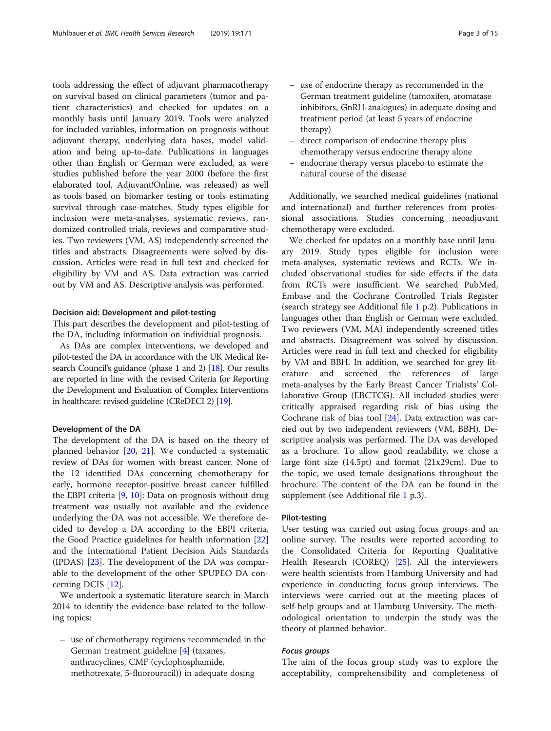tools addressing the effect of adjuvant pharmacotherapy on survival based on clinical parameters (tumor and patient characteristics) and checked for updates on a monthly basis until January 2019. Tools were analyzed for included variables, information on prognosis without adjuvant therapy, underlying data bases, model validation and being up-to-date. Publications in languages other than English or German were excluded, as were studies published before the year 2000 (before the first elaborated tool, Adjuvant!Online, was released) as well as tools based on biomarker testing or tools estimating survival through case-matches. Study types eligible for inclusion were meta-analyses, systematic reviews, randomized controlled trials, reviews and comparative studies. Two reviewers (VM, AS) independently screened the titles and abstracts. Disagreements were solved by discussion. Articles were read in full text and checked for eligibility by VM and AS. Data extraction was carried out by VM and AS. Descriptive analysis was performed.

# Decision aid: Development and pilot-testing

This part describes the development and pilot-testing of the DA, including information on individual prognosis.

As DAs are complex interventions, we developed and pilot-tested the DA in accordance with the UK Medical Research Council's guidance (phase 1 and 2) [\[18\]](#page-12-0). Our results are reported in line with the revised Criteria for Reporting the Development and Evaluation of Complex Interventions in healthcare: revised guideline (CReDECI 2) [\[19](#page-12-0)].

# Development of the DA

The development of the DA is based on the theory of planned behavior [[20](#page-13-0), [21](#page-13-0)]. We conducted a systematic review of DAs for women with breast cancer. None of the 12 identified DAs concerning chemotherapy for early, hormone receptor-positive breast cancer fulfilled the EBPI criteria [[9,](#page-12-0) [10\]](#page-12-0): Data on prognosis without drug treatment was usually not available and the evidence underlying the DA was not accessible. We therefore decided to develop a DA according to the EBPI criteria, the Good Practice guidelines for health information [[22](#page-13-0)] and the International Patient Decision Aids Standards (IPDAS) [[23](#page-13-0)]. The development of the DA was comparable to the development of the other SPUPEO DA concerning DCIS [[12](#page-12-0)].

We undertook a systematic literature search in March 2014 to identify the evidence base related to the following topics:

– use of chemotherapy regimens recommended in the German treatment guideline [\[4\]](#page-12-0) (taxanes, anthracyclines, CMF (cyclophosphamide, methotrexate, 5-fluorouracil)) in adequate dosing

- use of endocrine therapy as recommended in the German treatment guideline (tamoxifen, aromatase inhibitors, GnRH-analogues) in adequate dosing and treatment period (at least 5 years of endocrine therapy)
- direct comparison of endocrine therapy plus chemotherapy versus endocrine therapy alone
- endocrine therapy versus placebo to estimate the natural course of the disease

Additionally, we searched medical guidelines (national and international) and further references from professional associations. Studies concerning neoadjuvant chemotherapy were excluded.

We checked for updates on a monthly base until January 2019. Study types eligible for inclusion were meta-analyses, systematic reviews and RCTs. We included observational studies for side effects if the data from RCTs were insufficient. We searched PubMed, Embase and the Cochrane Controlled Trials Register (search strategy see Additional file [1](#page-11-0) p.2). Publications in languages other than English or German were excluded. Two reviewers (VM, MA) independently screened titles and abstracts. Disagreement was solved by discussion. Articles were read in full text and checked for eligibility by VM and BBH. In addition, we searched for grey literature and screened the references of large meta-analyses by the Early Breast Cancer Trialists' Collaborative Group (EBCTCG). All included studies were critically appraised regarding risk of bias using the Cochrane risk of bias tool [[24\]](#page-13-0). Data extraction was carried out by two independent reviewers (VM, BBH). Descriptive analysis was performed. The DA was developed as a brochure. To allow good readability, we chose a large font size (14.5pt) and format (21x29cm). Due to the topic, we used female designations throughout the brochure. The content of the DA can be found in the supplement (see Additional file [1](#page-11-0) p.3).

# Pilot-testing

User testing was carried out using focus groups and an online survey. The results were reported according to the Consolidated Criteria for Reporting Qualitative Health Research (COREQ) [\[25\]](#page-13-0). All the interviewers were health scientists from Hamburg University and had experience in conducting focus group interviews. The interviews were carried out at the meeting places of self-help groups and at Hamburg University. The methodological orientation to underpin the study was the theory of planned behavior.

# Focus groups

The aim of the focus group study was to explore the acceptability, comprehensibility and completeness of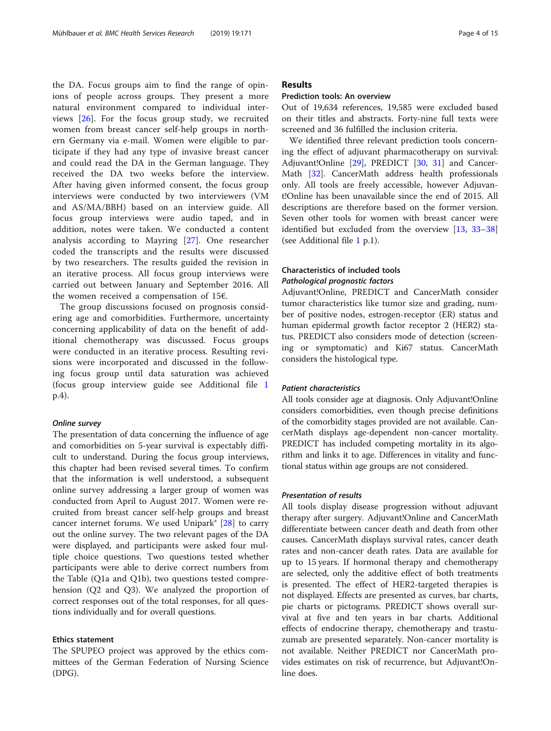the DA. Focus groups aim to find the range of opinions of people across groups. They present a more natural environment compared to individual interviews [\[26](#page-13-0)]. For the focus group study, we recruited women from breast cancer self-help groups in northern Germany via e-mail. Women were eligible to participate if they had any type of invasive breast cancer and could read the DA in the German language. They received the DA two weeks before the interview. After having given informed consent, the focus group interviews were conducted by two interviewers (VM and AS/MA/BBH) based on an interview guide. All focus group interviews were audio taped, and in addition, notes were taken. We conducted a content analysis according to Mayring [[27\]](#page-13-0). One researcher coded the transcripts and the results were discussed by two researchers. The results guided the revision in an iterative process. All focus group interviews were carried out between January and September 2016. All the women received a compensation of 15€.

The group discussions focused on prognosis considering age and comorbidities. Furthermore, uncertainty concerning applicability of data on the benefit of additional chemotherapy was discussed. Focus groups were conducted in an iterative process. Resulting revisions were incorporated and discussed in the following focus group until data saturation was achieved (focus group interview guide see Additional file [1](#page-11-0) p.4).

# Online survey

The presentation of data concerning the influence of age and comorbidities on 5-year survival is expectably difficult to understand. During the focus group interviews, this chapter had been revised several times. To confirm that the information is well understood, a subsequent online survey addressing a larger group of women was conducted from April to August 2017. Women were recruited from breast cancer self-help groups and breast cancer internet forums. We used Unipark®  $[28]$  $[28]$  to carry out the online survey. The two relevant pages of the DA were displayed, and participants were asked four multiple choice questions. Two questions tested whether participants were able to derive correct numbers from the Table (Q1a and Q1b), two questions tested comprehension (Q2 and Q3). We analyzed the proportion of correct responses out of the total responses, for all questions individually and for overall questions.

# Ethics statement

The SPUPEO project was approved by the ethics committees of the German Federation of Nursing Science (DPG).

# Results

# Prediction tools: An overview

Out of 19,634 references, 19,585 were excluded based on their titles and abstracts. Forty-nine full texts were screened and 36 fulfilled the inclusion criteria.

We identified three relevant prediction tools concerning the effect of adjuvant pharmacotherapy on survival: Adjuvant!Online [[29\]](#page-13-0), PREDICT [[30](#page-13-0), [31\]](#page-13-0) and Cancer-Math [[32\]](#page-13-0). CancerMath address health professionals only. All tools are freely accessible, however Adjuvant!Online has been unavailable since the end of 2015. All descriptions are therefore based on the former version. Seven other tools for women with breast cancer were identified but excluded from the overview [\[13](#page-12-0), [33](#page-13-0)–[38](#page-13-0)] (see Additional file [1](#page-11-0) p.1).

# Characteristics of included tools Pathological prognostic factors

Adjuvant!Online, PREDICT and CancerMath consider tumor characteristics like tumor size and grading, number of positive nodes, estrogen-receptor (ER) status and human epidermal growth factor receptor 2 (HER2) status. PREDICT also considers mode of detection (screening or symptomatic) and Ki67 status. CancerMath considers the histological type.

# Patient characteristics

All tools consider age at diagnosis. Only Adjuvant!Online considers comorbidities, even though precise definitions of the comorbidity stages provided are not available. CancerMath displays age-dependent non-cancer mortality. PREDICT has included competing mortality in its algorithm and links it to age. Differences in vitality and functional status within age groups are not considered.

# Presentation of results

All tools display disease progression without adjuvant therapy after surgery. Adjuvant!Online and CancerMath differentiate between cancer death and death from other causes. CancerMath displays survival rates, cancer death rates and non-cancer death rates. Data are available for up to 15 years. If hormonal therapy and chemotherapy are selected, only the additive effect of both treatments is presented. The effect of HER2-targeted therapies is not displayed. Effects are presented as curves, bar charts, pie charts or pictograms. PREDICT shows overall survival at five and ten years in bar charts. Additional effects of endocrine therapy, chemotherapy and trastuzumab are presented separately. Non-cancer mortality is not available. Neither PREDICT nor CancerMath provides estimates on risk of recurrence, but Adjuvant!Online does.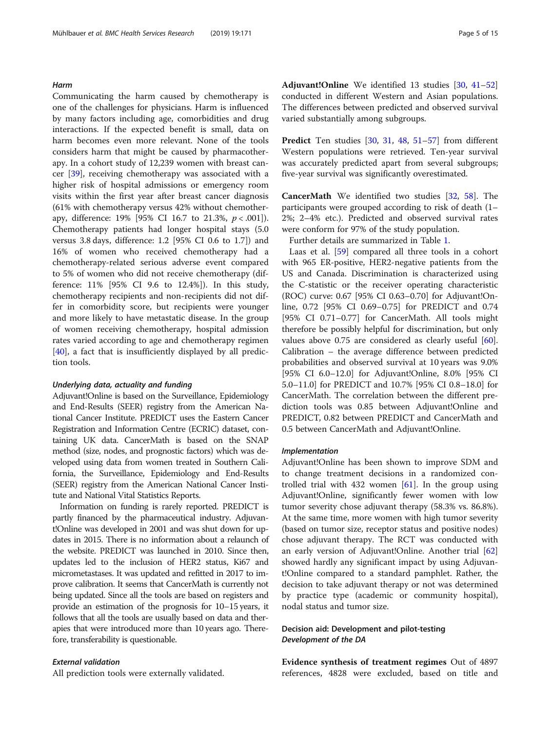# Harm

Communicating the harm caused by chemotherapy is one of the challenges for physicians. Harm is influenced by many factors including age, comorbidities and drug interactions. If the expected benefit is small, data on harm becomes even more relevant. None of the tools considers harm that might be caused by pharmacotherapy. In a cohort study of 12,239 women with breast cancer [[39](#page-13-0)], receiving chemotherapy was associated with a higher risk of hospital admissions or emergency room visits within the first year after breast cancer diagnosis (61% with chemotherapy versus 42% without chemotherapy, difference: 19% [95% CI 16.7 to 21.3%,  $p < .001$ ]). Chemotherapy patients had longer hospital stays (5.0 versus 3.8 days, difference: 1.2 [95% CI 0.6 to 1.7]) and 16% of women who received chemotherapy had a chemotherapy-related serious adverse event compared to 5% of women who did not receive chemotherapy (difference: 11% [95% CI 9.6 to 12.4%]). In this study, chemotherapy recipients and non-recipients did not differ in comorbidity score, but recipients were younger and more likely to have metastatic disease. In the group of women receiving chemotherapy, hospital admission rates varied according to age and chemotherapy regimen [[40\]](#page-13-0), a fact that is insufficiently displayed by all prediction tools.

# Underlying data, actuality and funding

Adjuvant!Online is based on the Surveillance, Epidemiology and End-Results (SEER) registry from the American National Cancer Institute. PREDICT uses the Eastern Cancer Registration and Information Centre (ECRIC) dataset, containing UK data. CancerMath is based on the SNAP method (size, nodes, and prognostic factors) which was developed using data from women treated in Southern California, the Surveillance, Epidemiology and End-Results (SEER) registry from the American National Cancer Institute and National Vital Statistics Reports.

Information on funding is rarely reported. PREDICT is partly financed by the pharmaceutical industry. Adjuvant!Online was developed in 2001 and was shut down for updates in 2015. There is no information about a relaunch of the website. PREDICT was launched in 2010. Since then, updates led to the inclusion of HER2 status, Ki67 and micrometastases. It was updated and refitted in 2017 to improve calibration. It seems that CancerMath is currently not being updated. Since all the tools are based on registers and provide an estimation of the prognosis for 10–15 years, it follows that all the tools are usually based on data and therapies that were introduced more than 10 years ago. Therefore, transferability is questionable.

# External validation

All prediction tools were externally validated.

Adjuvant!Online We identified 13 studies [\[30](#page-13-0), [41](#page-13-0)–[52](#page-13-0)] conducted in different Western and Asian populations. The differences between predicted and observed survival varied substantially among subgroups.

Predict Ten studies [[30](#page-13-0), [31,](#page-13-0) [48](#page-13-0), [51](#page-13-0)-[57](#page-13-0)] from different Western populations were retrieved. Ten-year survival was accurately predicted apart from several subgroups; five-year survival was significantly overestimated.

CancerMath We identified two studies [[32,](#page-13-0) [58\]](#page-13-0). The participants were grouped according to risk of death (1– 2%; 2–4% etc.). Predicted and observed survival rates were conform for 97% of the study population.

Further details are summarized in Table [1.](#page-5-0)

Laas et al. [\[59](#page-13-0)] compared all three tools in a cohort with 965 ER-positive, HER2-negative patients from the US and Canada. Discrimination is characterized using the C-statistic or the receiver operating characteristic (ROC) curve: 0.67 [95% CI 0.63–0.70] for Adjuvant!Online, 0.72 [95% CI 0.69–0.75] for PREDICT and 0.74 [95% CI 0.71–0.77] for CancerMath. All tools might therefore be possibly helpful for discrimination, but only values above 0.75 are considered as clearly useful [\[60](#page-13-0)]. Calibration – the average difference between predicted probabilities and observed survival at 10 years was 9.0% [95% CI 6.0–12.0] for Adjuvant!Online, 8.0% [95% CI 5.0–11.0] for PREDICT and 10.7% [95% CI 0.8–18.0] for CancerMath. The correlation between the different prediction tools was 0.85 between Adjuvant!Online and PREDICT, 0.82 between PREDICT and CancerMath and 0.5 between CancerMath and Adjuvant!Online.

## Implementation

Adjuvant!Online has been shown to improve SDM and to change treatment decisions in a randomized controlled trial with 432 women  $[61]$ . In the group using Adjuvant!Online, significantly fewer women with low tumor severity chose adjuvant therapy (58.3% vs. 86.8%). At the same time, more women with high tumor severity (based on tumor size, receptor status and positive nodes) chose adjuvant therapy. The RCT was conducted with an early version of Adjuvant!Online. Another trial [[62](#page-13-0)] showed hardly any significant impact by using Adjuvant!Online compared to a standard pamphlet. Rather, the decision to take adjuvant therapy or not was determined by practice type (academic or community hospital), nodal status and tumor size.

# Decision aid: Development and pilot-testing Development of the DA

Evidence synthesis of treatment regimes Out of 4897 references, 4828 were excluded, based on title and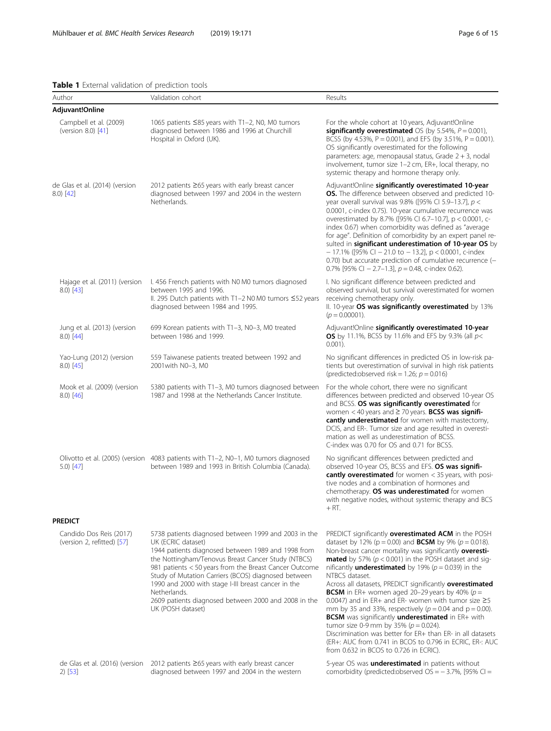# <span id="page-5-0"></span>Table 1 External validation of prediction tools

| <b>Execution variable of prediction tools</b><br>Author | Validation cohort                                                                                                                                                                                                                                                                                                                                                                                                                                           | Results                                                                                                                                                                                                                                                                                                                                                                                                                                                                                                                                                                                                                                                                                                                                                                                                                                                                    |
|---------------------------------------------------------|-------------------------------------------------------------------------------------------------------------------------------------------------------------------------------------------------------------------------------------------------------------------------------------------------------------------------------------------------------------------------------------------------------------------------------------------------------------|----------------------------------------------------------------------------------------------------------------------------------------------------------------------------------------------------------------------------------------------------------------------------------------------------------------------------------------------------------------------------------------------------------------------------------------------------------------------------------------------------------------------------------------------------------------------------------------------------------------------------------------------------------------------------------------------------------------------------------------------------------------------------------------------------------------------------------------------------------------------------|
| Adjuvant!Online                                         |                                                                                                                                                                                                                                                                                                                                                                                                                                                             |                                                                                                                                                                                                                                                                                                                                                                                                                                                                                                                                                                                                                                                                                                                                                                                                                                                                            |
| Campbell et al. (2009)<br>(version 8.0) [41]            | 1065 patients ≤85 years with T1-2, N0, M0 tumors<br>diagnosed between 1986 and 1996 at Churchill<br>Hospital in Oxford (UK).                                                                                                                                                                                                                                                                                                                                | For the whole cohort at 10 years, Adjuvant!Online<br>significantly overestimated OS (by 5.54%, $P = 0.001$ ),<br>BCSS (by 4.53%, P = 0.001), and EFS (by 3.51%, P = 0.001).<br>OS significantly overestimated for the following<br>parameters: age, menopausal status, Grade 2 + 3, nodal<br>involvement, tumor size 1-2 cm, ER+, local therapy, no<br>systemic therapy and hormone therapy only.                                                                                                                                                                                                                                                                                                                                                                                                                                                                          |
| de Glas et al. (2014) (version<br>8.0) [42]             | 2012 patients ≥65 years with early breast cancer<br>diagnosed between 1997 and 2004 in the western<br>Netherlands.                                                                                                                                                                                                                                                                                                                                          | Adjuvant!Online significantly overestimated 10-year<br><b>OS.</b> The difference between observed and predicted 10-<br>year overall survival was 9.8% ([95% CI 5.9-13.7], $p <$<br>0.0001, c-index 0.75). 10-year cumulative recurrence was<br>overestimated by 8.7% ([95% CI 6.7-10.7], p < 0.0001, c-<br>index 0.67) when comorbidity was defined as "average<br>for age". Definition of comorbidity by an expert panel re-<br>sulted in significant underestimation of 10-year OS by<br>$-17.1\%$ ([95% Cl $-21.0$ to $-13.2$ ], p < 0.0001, c-index<br>0.70) but accurate prediction of cumulative recurrence (-<br>0.7% [95% CI - 2.7-1.3], $p = 0.48$ , c-index 0.62).                                                                                                                                                                                               |
| Hajage et al. (2011) (version<br>$8.0)$ [43]            | I. 456 French patients with N0 M0 tumors diagnosed<br>between 1995 and 1996.<br>II. 295 Dutch patients with T1-2 N0 M0 tumors ≤52 years<br>diagnosed between 1984 and 1995.                                                                                                                                                                                                                                                                                 | I. No significant difference between predicted and<br>observed survival, but survival overestimated for women<br>receiving chemotherapy only.<br>II. 10-year OS was significantly overestimated by 13%<br>$(p = 0.00001)$ .                                                                                                                                                                                                                                                                                                                                                                                                                                                                                                                                                                                                                                                |
| Jung et al. (2013) (version<br>$8.0)$ [44]              | 699 Korean patients with T1-3, N0-3, M0 treated<br>between 1986 and 1999.                                                                                                                                                                                                                                                                                                                                                                                   | Adjuvant!Online significantly overestimated 10-year<br>OS by 11.1%, BCSS by 11.6% and EFS by 9.3% (all $p$ <<br>$0.001$ ).                                                                                                                                                                                                                                                                                                                                                                                                                                                                                                                                                                                                                                                                                                                                                 |
| Yao-Lung (2012) (version<br>$8.0)$ [45]                 | 559 Taiwanese patients treated between 1992 and<br>2001 with N0-3, M0                                                                                                                                                                                                                                                                                                                                                                                       | No significant differences in predicted OS in low-risk pa-<br>tients but overestimation of survival in high risk patients<br>(predicted:observed risk = 1.26; $p = 0.016$ )                                                                                                                                                                                                                                                                                                                                                                                                                                                                                                                                                                                                                                                                                                |
| Mook et al. (2009) (version<br>$(8.0)$ [46]             | 5380 patients with T1-3, M0 tumors diagnosed between<br>1987 and 1998 at the Netherlands Cancer Institute.                                                                                                                                                                                                                                                                                                                                                  | For the whole cohort, there were no significant<br>differences between predicted and observed 10-year OS<br>and BCSS. OS was significantly overestimated for<br>women $<$ 40 years and $\geq$ 70 years. BCSS was signifi-<br>cantly underestimated for women with mastectomy,<br>DCIS, and ER-. Tumor size and age resulted in overesti-<br>mation as well as underestimation of BCSS.<br>C-index was 0.70 for OS and 0.71 for BCSS.                                                                                                                                                                                                                                                                                                                                                                                                                                       |
| $5.0)$ [47]                                             | Olivotto et al. (2005) (version 4083 patients with T1-2, N0-1, M0 tumors diagnosed<br>between 1989 and 1993 in British Columbia (Canada).                                                                                                                                                                                                                                                                                                                   | No significant differences between predicted and<br>observed 10-year OS, BCSS and EFS. OS was signifi-<br>cantly overestimated for women < 35 years, with posi-<br>tive nodes and a combination of hormones and<br>chemotherapy. OS was underestimated for women<br>with negative nodes, without systemic therapy and BCS<br>$+ RT.$                                                                                                                                                                                                                                                                                                                                                                                                                                                                                                                                       |
| <b>PREDICT</b>                                          |                                                                                                                                                                                                                                                                                                                                                                                                                                                             |                                                                                                                                                                                                                                                                                                                                                                                                                                                                                                                                                                                                                                                                                                                                                                                                                                                                            |
| Candido Dos Reis (2017)<br>(version 2, refitted) [57]   | 5738 patients diagnosed between 1999 and 2003 in the<br>UK (ECRIC dataset)<br>1944 patients diagnosed between 1989 and 1998 from<br>the Nottingham/Tenovus Breast Cancer Study (NTBCS)<br>981 patients < 50 years from the Breast Cancer Outcome<br>Study of Mutation Carriers (BCOS) diagnosed between<br>1990 and 2000 with stage I-III breast cancer in the<br>Netherlands.<br>2609 patients diagnosed between 2000 and 2008 in the<br>UK (POSH dataset) | PREDICT significantly overestimated ACM in the POSH<br>dataset by 12% ( $p = 0.00$ ) and <b>BCSM</b> by 9% ( $p = 0.018$ ).<br>Non-breast cancer mortality was significantly overesti-<br><b>mated</b> by 57% ( $p < 0.001$ ) in the POSH dataset and sig-<br>nificantly <b>underestimated</b> by 19% ( $p = 0.039$ ) in the<br>NTBCS dataset.<br>Across all datasets, PREDICT significantly overestimated<br><b>BCSM</b> in ER+ women aged 20-29 years by 40% ( $p =$<br>0.0047) and in ER+ and ER- women with tumor size $\geq$ 5<br>mm by 35 and 33%, respectively ( $p = 0.04$ and $p = 0.00$ ).<br>BCSM was significantly underestimated in ER+ with<br>tumor size 0-9 mm by 35% ( $p = 0.024$ ).<br>Discrimination was better for ER+ than ER- in all datasets<br>(ER+: AUC from 0.741 in BCOS to 0.796 in ECRIC, ER-: AUC<br>from 0.632 in BCOS to 0.726 in ECRIC). |
| $2)$ [53]                                               | de Glas et al. (2016) (version 2012 patients ≥65 years with early breast cancer<br>diagnosed between 1997 and 2004 in the western                                                                                                                                                                                                                                                                                                                           | 5-year OS was <b>underestimated</b> in patients without<br>comorbidity (predicted:observed $OS = -3.7\%$ , [95% CI =                                                                                                                                                                                                                                                                                                                                                                                                                                                                                                                                                                                                                                                                                                                                                       |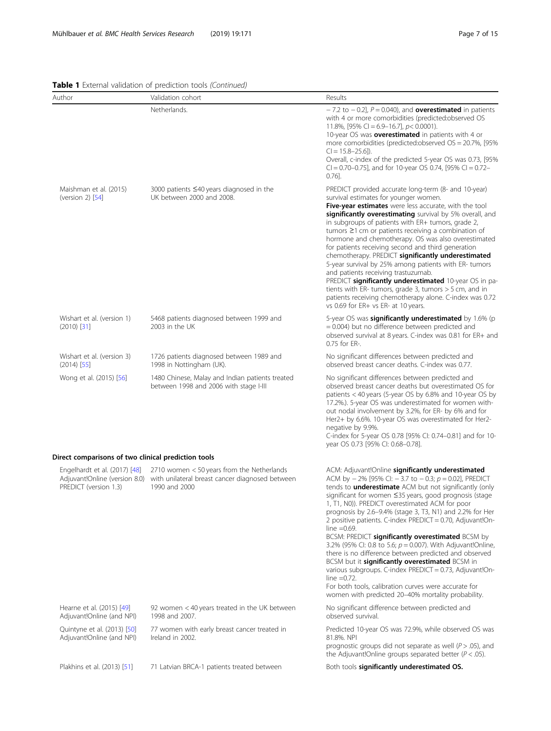# Table 1 External validation of prediction tools (Continued)

| Author                                                                                                               | Validation cohort                                                                                                                            | Results                                                                                                                                                                                                                                                                                                                                                                                                                                                                                                                                                                                                                                                                                                                                                                                                                                                                     |
|----------------------------------------------------------------------------------------------------------------------|----------------------------------------------------------------------------------------------------------------------------------------------|-----------------------------------------------------------------------------------------------------------------------------------------------------------------------------------------------------------------------------------------------------------------------------------------------------------------------------------------------------------------------------------------------------------------------------------------------------------------------------------------------------------------------------------------------------------------------------------------------------------------------------------------------------------------------------------------------------------------------------------------------------------------------------------------------------------------------------------------------------------------------------|
|                                                                                                                      | Netherlands.                                                                                                                                 | $-7.2$ to $-0.2$ ], $P = 0.040$ ), and <b>overestimated</b> in patients<br>with 4 or more comorbidities (predicted:observed OS<br>11.8%, [95% CI = 6.9-16.7], $p < 0.0001$ ).<br>10-year OS was <b>overestimated</b> in patients with 4 or<br>more comorbidities (predicted:observed $OS = 20.7\%$ , [95%]<br>$Cl = 15.8 - 25.6$ ]).<br>Overall, c-index of the predicted 5-year OS was 0.73, [95%<br>CI = 0.70-0.75], and for 10-year OS 0.74, [95% CI = 0.72-<br>$0.76$ ].                                                                                                                                                                                                                                                                                                                                                                                                |
| Maishman et al. (2015)<br>(version $2$ ) [54]                                                                        | 3000 patients ≤40 years diagnosed in the<br>UK between 2000 and 2008.                                                                        | PREDICT provided accurate long-term (8- and 10-year)<br>survival estimates for younger women.<br>Five-year estimates were less accurate, with the tool<br>significantly overestimating survival by 5% overall, and<br>in subgroups of patients with ER+ tumors, grade 2,<br>tumors $\geq$ 1 cm or patients receiving a combination of<br>hormone and chemotherapy. OS was also overestimated<br>for patients receiving second and third generation<br>chemotherapy. PREDICT significantly underestimated<br>5-year survival by 25% among patients with ER-tumors<br>and patients receiving trastuzumab.<br>PREDICT significantly underestimated 10-year OS in pa-<br>tients with ER- tumors, grade 3, tumors $>$ 5 cm, and in<br>patients receiving chemotherapy alone. C-index was 0.72<br>vs 0.69 for ER+ vs ER- at 10 years.                                             |
| Wishart et al. (version 1)<br>$(2010)$ [31]                                                                          | 5468 patients diagnosed between 1999 and<br>2003 in the UK                                                                                   | 5-year OS was <b>significantly underestimated</b> by 1.6% (p<br>$= 0.004$ ) but no difference between predicted and<br>observed survival at 8 years. C-index was 0.81 for ER+ and<br>0.75 for ER-.                                                                                                                                                                                                                                                                                                                                                                                                                                                                                                                                                                                                                                                                          |
| Wishart et al. (version 3)<br>$(2014)$ [55]                                                                          | 1726 patients diagnosed between 1989 and<br>1998 in Nottingham (UK).                                                                         | No significant differences between predicted and<br>observed breast cancer deaths. C-index was 0.77.                                                                                                                                                                                                                                                                                                                                                                                                                                                                                                                                                                                                                                                                                                                                                                        |
| 1480 Chinese, Malay and Indian patients treated<br>Wong et al. (2015) [56]<br>between 1998 and 2006 with stage I-III |                                                                                                                                              | No significant differences between predicted and<br>observed breast cancer deaths but overestimated OS for<br>patients < 40 years (5-year OS by 6.8% and 10-year OS by<br>17.2%.). 5-year OS was underestimated for women with-<br>out nodal involvement by 3.2%, for ER- by 6% and for<br>Her2+ by 6.6%. 10-year OS was overestimated for Her2-<br>negative by 9.9%.<br>C-index for 5-year OS 0.78 [95% CI: 0.74-0.81] and for 10-<br>year OS 0.73 [95% Cl: 0.68-0.78].                                                                                                                                                                                                                                                                                                                                                                                                    |
| Direct comparisons of two clinical prediction tools                                                                  |                                                                                                                                              |                                                                                                                                                                                                                                                                                                                                                                                                                                                                                                                                                                                                                                                                                                                                                                                                                                                                             |
| Engelhardt et al. (2017) [48]<br>PREDICT (version 1.3)                                                               | 2710 women < 50 years from the Netherlands<br>Adjuvant!Online (version 8.0) with unilateral breast cancer diagnosed between<br>1990 and 2000 | ACM: Adjuvant!Online significantly underestimated<br>ACM by $-2\%$ [95% CI: $-3.7$ to $-0.3$ ; $p = 0.02$ ], PREDICT<br>tends to <b>underestimate</b> ACM but not significantly (only<br>significant for women ≤35 years, good prognosis (stage<br>1, T1, N0)). PREDICT overestimated ACM for poor<br>prognosis by 2.6-9.4% (stage 3, T3, N1) and 2.2% for Her<br>2 positive patients. C-index PREDICT = 0.70, Adjuvant!On-<br>line $=0.69$ .<br>BCSM: PREDICT significantly overestimated BCSM by<br>3.2% (95% Cl: 0.8 to 5.6; $p = 0.007$ ). With Adjuvant!Online,<br>there is no difference between predicted and observed<br>BCSM but it significantly overestimated BCSM in<br>various subgroups. C-index PREDICT = 0.73, Adjuvant!On-<br>line $=0.72$ .<br>For both tools, calibration curves were accurate for<br>women with predicted 20-40% mortality probability. |
| Hearne et al. (2015) [49]<br>Adjuvant!Online (and NPI)                                                               | 92 women < 40 years treated in the UK between<br>1998 and 2007.                                                                              | No significant difference between predicted and<br>observed survival.                                                                                                                                                                                                                                                                                                                                                                                                                                                                                                                                                                                                                                                                                                                                                                                                       |
| Quintyne et al. (2013) [50]<br>Adjuvant!Online (and NPI)                                                             | 77 women with early breast cancer treated in<br>Ireland in 2002.                                                                             | Predicted 10-year OS was 72.9%, while observed OS was<br>81.8%. NPI<br>prognostic groups did not separate as well ( $P > .05$ ), and<br>the Adjuvant! Online groups separated better ( $P < .05$ ).                                                                                                                                                                                                                                                                                                                                                                                                                                                                                                                                                                                                                                                                         |
| Plakhins et al. (2013) [51]                                                                                          | 71 Latvian BRCA-1 patients treated between                                                                                                   | Both tools significantly underestimated OS.                                                                                                                                                                                                                                                                                                                                                                                                                                                                                                                                                                                                                                                                                                                                                                                                                                 |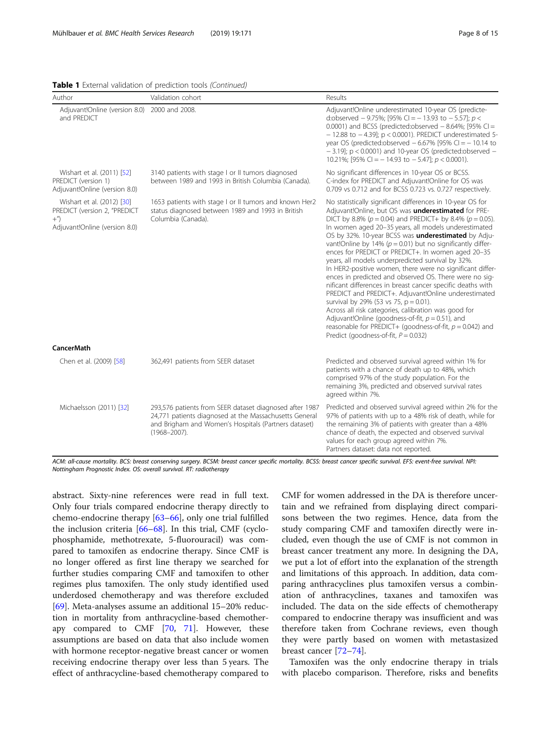|  |  |  |  |  |  |  | Table 1 External validation of prediction tools (Continued) |
|--|--|--|--|--|--|--|-------------------------------------------------------------|
|--|--|--|--|--|--|--|-------------------------------------------------------------|

| Author                                                                                                  | Validation cohort                                                                                                                                                                                                                                                                                                                                                                                                                                                                                                                                                                                                                                                                                                                                                                                                                                                                                                                                                                                                                                                                                                                     | Results                                                                                                                                                                                                                                                                                                                                                                                                                                       |
|---------------------------------------------------------------------------------------------------------|---------------------------------------------------------------------------------------------------------------------------------------------------------------------------------------------------------------------------------------------------------------------------------------------------------------------------------------------------------------------------------------------------------------------------------------------------------------------------------------------------------------------------------------------------------------------------------------------------------------------------------------------------------------------------------------------------------------------------------------------------------------------------------------------------------------------------------------------------------------------------------------------------------------------------------------------------------------------------------------------------------------------------------------------------------------------------------------------------------------------------------------|-----------------------------------------------------------------------------------------------------------------------------------------------------------------------------------------------------------------------------------------------------------------------------------------------------------------------------------------------------------------------------------------------------------------------------------------------|
| Adjuvant!Online (version 8.0)<br>and PREDICT                                                            | 2000 and 2008.                                                                                                                                                                                                                                                                                                                                                                                                                                                                                                                                                                                                                                                                                                                                                                                                                                                                                                                                                                                                                                                                                                                        | Adjuvant!Online underestimated 10-year OS (predicte-<br>d:observed - 9.75%; [95% CI = $-$ 13.93 to $-$ 5.57]; p <<br>0.0001) and BCSS (predicted:observed $-$ 8.64%; [95% CI =<br>$-$ 12.88 to $-$ 4.39]; p < 0.0001). PREDICT underestimated 5-<br>year OS (predicted:observed $-6.67\%$ [95% CI = $-10.14$ to<br>$-$ 3.19]; p < 0.0001) and 10-year OS (predicted:observed $-$<br>10.21%; [95% CI = $-$ 14.93 to $-$ 5.47]; $p < 0.0001$ ). |
| Wishart et al. (2011) [52]<br>PREDICT (version 1)<br>Adjuvant!Online (version 8.0)                      | 3140 patients with stage I or II tumors diagnosed<br>between 1989 and 1993 in British Columbia (Canada).                                                                                                                                                                                                                                                                                                                                                                                                                                                                                                                                                                                                                                                                                                                                                                                                                                                                                                                                                                                                                              | No significant differences in 10-year OS or BCSS.<br>C-index for PREDICT and Adjuvant!Online for OS was<br>0.709 vs 0.712 and for BCSS 0.723 vs. 0.727 respectively.                                                                                                                                                                                                                                                                          |
| Wishart et al. (2012) [30]<br>PREDICT (version 2, "PREDICT<br>$^{+''}$<br>Adjuvant!Online (version 8.0) | 1653 patients with stage I or II tumors and known Her2<br>No statistically significant differences in 10-year OS for<br>status diagnosed between 1989 and 1993 in British<br>Adjuvant!Online, but OS was underestimated for PRE-<br>Columbia (Canada).<br>DICT by 8.8% ( $p = 0.04$ ) and PREDICT+ by 8.4% ( $p = 0.05$ ).<br>In women aged 20-35 years, all models underestimated<br>OS by 32%. 10-year BCSS was underestimated by Adju-<br>vant!Online by 14% ( $p = 0.01$ ) but no significantly differ-<br>ences for PREDICT or PREDICT+. In women aged 20-35<br>years, all models underpredicted survival by 32%.<br>In HER2-positive women, there were no significant differ-<br>ences in predicted and observed OS. There were no sig-<br>nificant differences in breast cancer specific deaths with<br>PREDICT and PREDICT+. Adjuvant!Online underestimated<br>survival by 29% (53 vs 75, p = 0.01).<br>Across all risk categories, calibration was good for<br>Adjuvant!Online (goodness-of-fit, $p = 0.51$ ), and<br>reasonable for PREDICT+ (goodness-of-fit, $p = 0.042$ ) and<br>Predict (goodness-of-fit, $P = 0.032$ ) |                                                                                                                                                                                                                                                                                                                                                                                                                                               |
| <b>CancerMath</b>                                                                                       |                                                                                                                                                                                                                                                                                                                                                                                                                                                                                                                                                                                                                                                                                                                                                                                                                                                                                                                                                                                                                                                                                                                                       |                                                                                                                                                                                                                                                                                                                                                                                                                                               |
| Chen et al. (2009) [58]                                                                                 | 362,491 patients from SEER dataset                                                                                                                                                                                                                                                                                                                                                                                                                                                                                                                                                                                                                                                                                                                                                                                                                                                                                                                                                                                                                                                                                                    | Predicted and observed survival agreed within 1% for<br>patients with a chance of death up to 48%, which<br>comprised 97% of the study population. For the<br>remaining 3%, predicted and observed survival rates<br>agreed within 7%.                                                                                                                                                                                                        |
| Michaelsson (2011) [32]                                                                                 | 293,576 patients from SEER dataset diagnosed after 1987<br>24,771 patients diagnosed at the Massachusetts General<br>and Brigham and Women's Hospitals (Partners dataset)<br>$(1968 - 2007)$ .                                                                                                                                                                                                                                                                                                                                                                                                                                                                                                                                                                                                                                                                                                                                                                                                                                                                                                                                        | Predicted and observed survival agreed within 2% for the<br>97% of patients with up to a 48% risk of death, while for<br>the remaining 3% of patients with greater than a 48%<br>chance of death, the expected and observed survival<br>values for each group agreed within 7%.<br>Partners dataset: data not reported.                                                                                                                       |

ACM: all-cause mortality. BCS: breast conserving surgery. BCSM: breast cancer specific mortality. BCSS: breast cancer specific survival. EFS: event-free survival. NPI: Nottingham Prognostic Index. OS: overall survival. RT: radiotherapy

abstract. Sixty-nine references were read in full text. Only four trials compared endocrine therapy directly to chemo-endocrine therapy [\[63](#page-13-0)–[66\]](#page-14-0), only one trial fulfilled the inclusion criteria [\[66](#page-14-0)–[68\]](#page-14-0). In this trial, CMF (cyclophosphamide, methotrexate, 5-fluorouracil) was compared to tamoxifen as endocrine therapy. Since CMF is no longer offered as first line therapy we searched for further studies comparing CMF and tamoxifen to other regimes plus tamoxifen. The only study identified used underdosed chemotherapy and was therefore excluded [[69\]](#page-14-0). Meta-analyses assume an additional  $15-20\%$  reduction in mortality from anthracycline-based chemotherapy compared to CMF [\[70](#page-14-0), [71\]](#page-14-0). However, these assumptions are based on data that also include women with hormone receptor-negative breast cancer or women receiving endocrine therapy over less than 5 years. The effect of anthracycline-based chemotherapy compared to

CMF for women addressed in the DA is therefore uncertain and we refrained from displaying direct comparisons between the two regimes. Hence, data from the study comparing CMF and tamoxifen directly were included, even though the use of CMF is not common in breast cancer treatment any more. In designing the DA, we put a lot of effort into the explanation of the strength and limitations of this approach. In addition, data comparing anthracyclines plus tamoxifen versus a combination of anthracyclines, taxanes and tamoxifen was included. The data on the side effects of chemotherapy compared to endocrine therapy was insufficient and was therefore taken from Cochrane reviews, even though they were partly based on women with metastasized breast cancer [\[72](#page-14-0)–[74\]](#page-14-0).

Tamoxifen was the only endocrine therapy in trials with placebo comparison. Therefore, risks and benefits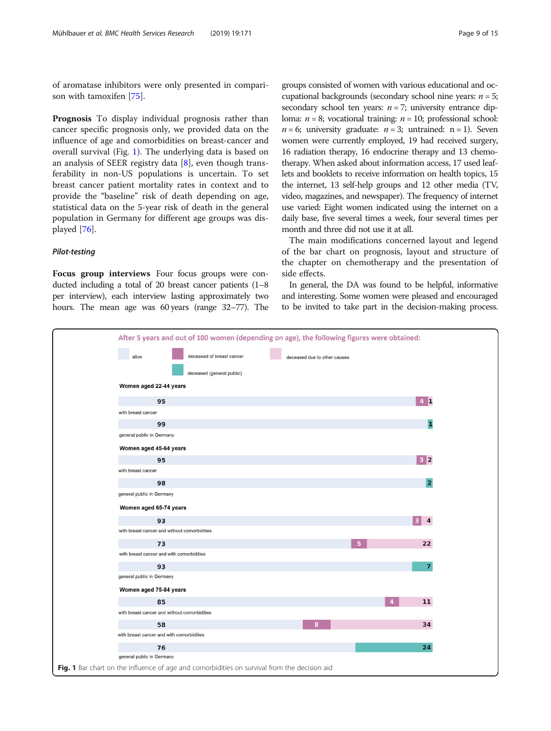<span id="page-8-0"></span>of aromatase inhibitors were only presented in comparison with tamoxifen [[75\]](#page-14-0).

Prognosis To display individual prognosis rather than cancer specific prognosis only, we provided data on the influence of age and comorbidities on breast-cancer and overall survival (Fig. 1). The underlying data is based on an analysis of SEER registry data [\[8](#page-12-0)], even though transferability in non-US populations is uncertain. To set breast cancer patient mortality rates in context and to provide the "baseline" risk of death depending on age, statistical data on the 5-year risk of death in the general population in Germany for different age groups was displayed [[76\]](#page-14-0).

# Pilot-testing

Focus group interviews Four focus groups were conducted including a total of 20 breast cancer patients (1–8 per interview), each interview lasting approximately two hours. The mean age was 60 years (range 32–77). The

groups consisted of women with various educational and occupational backgrounds (secondary school nine years:  $n = 5$ ; secondary school ten years:  $n = 7$ ; university entrance diploma:  $n = 8$ ; vocational training:  $n = 10$ ; professional school:  $n = 6$ ; university graduate:  $n = 3$ ; untrained: n = 1). Seven women were currently employed, 19 had received surgery, 16 radiation therapy, 16 endocrine therapy and 13 chemotherapy. When asked about information access, 17 used leaflets and booklets to receive information on health topics, 15 the internet, 13 self-help groups and 12 other media (TV, video, magazines, and newspaper). The frequency of internet use varied: Eight women indicated using the internet on a daily base, five several times a week, four several times per month and three did not use it at all.

The main modifications concerned layout and legend of the bar chart on prognosis, layout and structure of the chapter on chemotherapy and the presentation of side effects.

In general, the DA was found to be helpful, informative and interesting. Some women were pleased and encouraged to be invited to take part in the decision-making process.

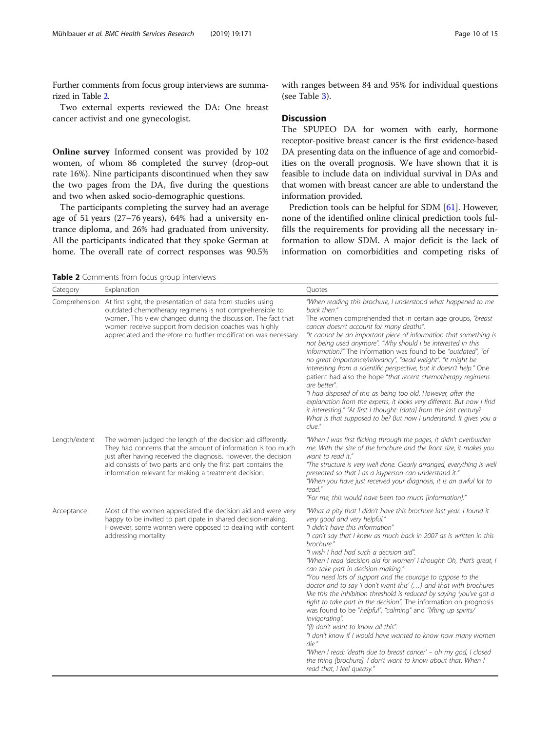Further comments from focus group interviews are summarized in Table 2.

Two external experts reviewed the DA: One breast cancer activist and one gynecologist.

Online survey Informed consent was provided by 102 women, of whom 86 completed the survey (drop-out rate 16%). Nine participants discontinued when they saw the two pages from the DA, five during the questions and two when asked socio-demographic questions.

The participants completing the survey had an average age of 51 years (27–76 years), 64% had a university entrance diploma, and 26% had graduated from university. All the participants indicated that they spoke German at home. The overall rate of correct responses was 90.5% with ranges between 84 and 95% for individual questions (see Table [3\)](#page-10-0).

# **Discussion**

The SPUPEO DA for women with early, hormone receptor-positive breast cancer is the first evidence-based DA presenting data on the influence of age and comorbidities on the overall prognosis. We have shown that it is feasible to include data on individual survival in DAs and that women with breast cancer are able to understand the information provided.

Prediction tools can be helpful for SDM [[61](#page-13-0)]. However, none of the identified online clinical prediction tools fulfills the requirements for providing all the necessary information to allow SDM. A major deficit is the lack of information on comorbidities and competing risks of

Table 2 Comments from focus group interviews

| Category      | Explanation                                                                                                                                                                                                                                                                                                                         | Quotes                                                                                                                                                                                                                                                                                                                                                                                                                                                                                                                                                                                                                                                                                                                                                                                                                                                                                                                                                                                                                                    |
|---------------|-------------------------------------------------------------------------------------------------------------------------------------------------------------------------------------------------------------------------------------------------------------------------------------------------------------------------------------|-------------------------------------------------------------------------------------------------------------------------------------------------------------------------------------------------------------------------------------------------------------------------------------------------------------------------------------------------------------------------------------------------------------------------------------------------------------------------------------------------------------------------------------------------------------------------------------------------------------------------------------------------------------------------------------------------------------------------------------------------------------------------------------------------------------------------------------------------------------------------------------------------------------------------------------------------------------------------------------------------------------------------------------------|
|               | Comprehension At first sight, the presentation of data from studies using<br>outdated chemotherapy regimens is not comprehensible to<br>women. This view changed during the discussion. The fact that<br>women receive support from decision coaches was highly<br>appreciated and therefore no further modification was necessary. | "When reading this brochure, I understood what happened to me<br>back then."<br>The women comprehended that in certain age groups, "breast<br>cancer doesn't account for many deaths".<br>"It cannot be an important piece of information that something is<br>not being used anymore". "Why should I be interested in this<br>information?" The information was found to be "outdated", "of<br>no great importance/relevancy", "dead weight". "It might be<br>interesting from a scientific perspective, but it doesn't help." One<br>patient had also the hope "that recent chemotherapy regimens<br>are better".<br>"I had disposed of this as being too old. However, after the<br>explanation from the experts, it looks very different. But now I find<br>it interesting." "At first I thought: [data] from the last century?<br>What is that supposed to be? But now I understand. It gives you a<br>clue."                                                                                                                        |
| Length/extent | The women judged the length of the decision aid differently.<br>They had concerns that the amount of information is too much<br>just after having received the diagnosis. However, the decision<br>aid consists of two parts and only the first part contains the<br>information relevant for making a treatment decision.          | "When I was first flicking through the pages, it didn't overburden<br>me. With the size of the brochure and the front size, it makes you<br>want to read it."<br>"The structure is very well done. Clearly arranged, everything is well<br>presented so that I as a layperson can understand it."<br>"When you have just received your diagnosis, it is an awful lot to<br>read."<br>"For me, this would have been too much [information]."                                                                                                                                                                                                                                                                                                                                                                                                                                                                                                                                                                                               |
| Acceptance    | Most of the women appreciated the decision aid and were very<br>happy to be invited to participate in shared decision-making.<br>However, some women were opposed to dealing with content<br>addressing mortality.                                                                                                                  | "What a pity that I didn't have this brochure last year. I found it<br>very good and very helpful."<br>"I didn't have this information"<br>"I can't say that I knew as much back in 2007 as is written in this<br>brochure."<br>"I wish I had had such a decision aid".<br>"When I read 'decision aid for women' I thought: Oh, that's great, I<br>can take part in decision-making."<br>"You need lots of support and the courage to oppose to the<br>doctor and to say 'I don't want this' () and that with brochures<br>like this the inhibition threshold is reduced by saying 'you've got a<br>right to take part in the decision". The information on prognosis<br>was found to be "helpful", "calming" and "lifting up spirits/<br>invigorating".<br>"(I) don't want to know all this".<br>"I don't know if I would have wanted to know how many women<br>die."<br>"When I read: 'death due to breast cancer' - oh my god, I closed<br>the thing [brochure]. I don't want to know about that. When I<br>read that, I feel queasy." |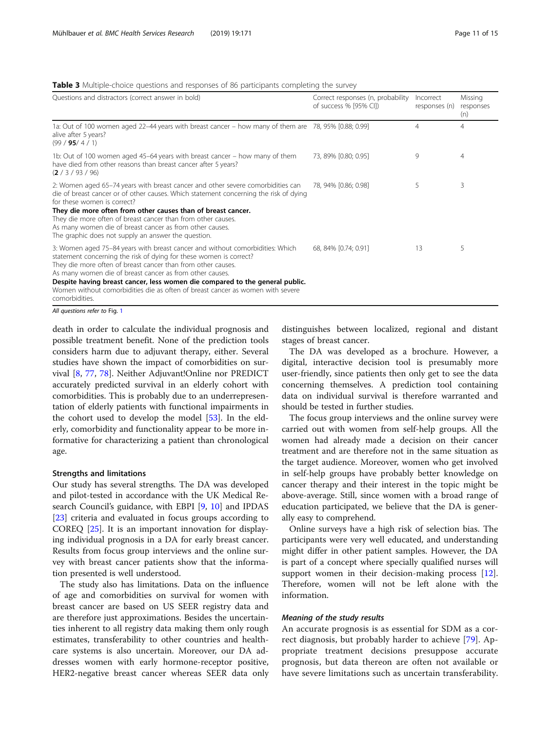# <span id="page-10-0"></span>**Table 3** Multiple-choice questions and responses of 86 participants completing the survey

| Questions and distractors (correct answer in bold)                                                                                                                                                                                                                                                                                                                                                                                                                  | Correct responses (n, probability<br>of success % [95% CI]) | Incorrect<br>responses (n) | Missing<br>responses<br>(n) |
|---------------------------------------------------------------------------------------------------------------------------------------------------------------------------------------------------------------------------------------------------------------------------------------------------------------------------------------------------------------------------------------------------------------------------------------------------------------------|-------------------------------------------------------------|----------------------------|-----------------------------|
| 1a: Out of 100 women aged 22-44 years with breast cancer - how many of them are 78, 95% [0.88; 0.99]<br>alive after 5 years?<br>(99 / 95 / 4 / 1)                                                                                                                                                                                                                                                                                                                   |                                                             | 4                          | 4                           |
| 1b: Out of 100 women aged 45–64 years with breast cancer – how many of them<br>have died from other reasons than breast cancer after 5 years?<br>(2/3/93/96)                                                                                                                                                                                                                                                                                                        | 73, 89% [0.80; 0.95]                                        | 9                          | 4                           |
| 2: Women aged 65–74 years with breast cancer and other severe comorbidities can<br>die of breast cancer or of other causes. Which statement concerning the risk of dying<br>for these women is correct?<br>They die more often from other causes than of breast cancer.<br>They die more often of breast cancer than from other causes.<br>As many women die of breast cancer as from other causes.<br>The graphic does not supply an answer the question.          | 78, 94% [0.86; 0.98]                                        | 5                          | 3                           |
| 3: Women aged 75-84 years with breast cancer and without comorbidities: Which<br>statement concerning the risk of dying for these women is correct?<br>They die more often of breast cancer than from other causes.<br>As many women die of breast cancer as from other causes.<br>Despite having breast cancer, less women die compared to the general public.<br>Women without comorbidities die as often of breast cancer as women with severe<br>comorbidities. | 68, 84% [0.74; 0.91]                                        | 13                         | 5                           |

All questions refer to Fig. [1](#page-8-0)

death in order to calculate the individual prognosis and possible treatment benefit. None of the prediction tools considers harm due to adjuvant therapy, either. Several studies have shown the impact of comorbidities on survival [[8,](#page-12-0) [77](#page-14-0), [78\]](#page-14-0). Neither Adjuvant!Online nor PREDICT accurately predicted survival in an elderly cohort with comorbidities. This is probably due to an underrepresentation of elderly patients with functional impairments in the cohort used to develop the model [[53](#page-13-0)]. In the elderly, comorbidity and functionality appear to be more informative for characterizing a patient than chronological age.

# Strengths and limitations

Our study has several strengths. The DA was developed and pilot-tested in accordance with the UK Medical Research Council's guidance, with EBPI [\[9,](#page-12-0) [10](#page-12-0)] and IPDAS [[23\]](#page-13-0) criteria and evaluated in focus groups according to COREQ [\[25](#page-13-0)]. It is an important innovation for displaying individual prognosis in a DA for early breast cancer. Results from focus group interviews and the online survey with breast cancer patients show that the information presented is well understood.

The study also has limitations. Data on the influence of age and comorbidities on survival for women with breast cancer are based on US SEER registry data and are therefore just approximations. Besides the uncertainties inherent to all registry data making them only rough estimates, transferability to other countries and healthcare systems is also uncertain. Moreover, our DA addresses women with early hormone-receptor positive, HER2-negative breast cancer whereas SEER data only distinguishes between localized, regional and distant stages of breast cancer.

The DA was developed as a brochure. However, a digital, interactive decision tool is presumably more user-friendly, since patients then only get to see the data concerning themselves. A prediction tool containing data on individual survival is therefore warranted and should be tested in further studies.

The focus group interviews and the online survey were carried out with women from self-help groups. All the women had already made a decision on their cancer treatment and are therefore not in the same situation as the target audience. Moreover, women who get involved in self-help groups have probably better knowledge on cancer therapy and their interest in the topic might be above-average. Still, since women with a broad range of education participated, we believe that the DA is generally easy to comprehend.

Online surveys have a high risk of selection bias. The participants were very well educated, and understanding might differ in other patient samples. However, the DA is part of a concept where specially qualified nurses will support women in their decision-making process [\[12](#page-12-0)]. Therefore, women will not be left alone with the information.

# Meaning of the study results

An accurate prognosis is as essential for SDM as a correct diagnosis, but probably harder to achieve [[79\]](#page-14-0). Appropriate treatment decisions presuppose accurate prognosis, but data thereon are often not available or have severe limitations such as uncertain transferability.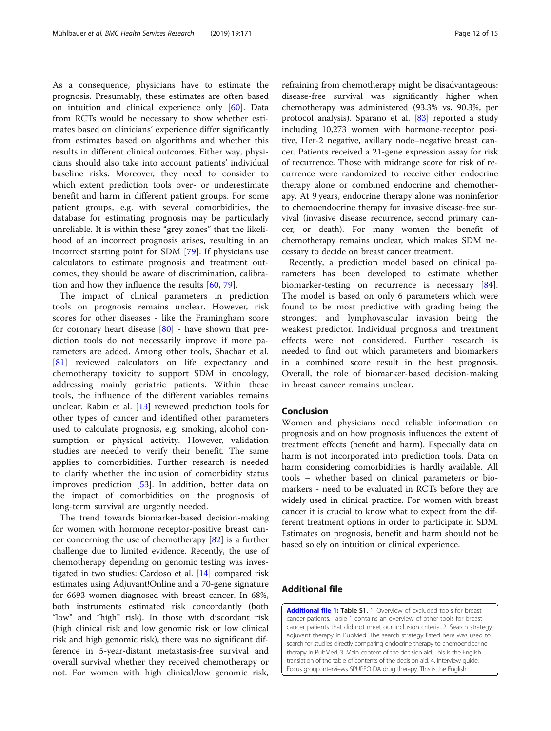<span id="page-11-0"></span>As a consequence, physicians have to estimate the prognosis. Presumably, these estimates are often based on intuition and clinical experience only [[60\]](#page-13-0). Data from RCTs would be necessary to show whether estimates based on clinicians' experience differ significantly from estimates based on algorithms and whether this results in different clinical outcomes. Either way, physicians should also take into account patients' individual baseline risks. Moreover, they need to consider to which extent prediction tools over- or underestimate benefit and harm in different patient groups. For some patient groups, e.g. with several comorbidities, the database for estimating prognosis may be particularly unreliable. It is within these "grey zones" that the likelihood of an incorrect prognosis arises, resulting in an incorrect starting point for SDM [[79\]](#page-14-0). If physicians use calculators to estimate prognosis and treatment outcomes, they should be aware of discrimination, calibration and how they influence the results [\[60](#page-13-0), [79\]](#page-14-0).

The impact of clinical parameters in prediction tools on prognosis remains unclear. However, risk scores for other diseases - like the Framingham score for coronary heart disease  $[80]$  $[80]$  - have shown that prediction tools do not necessarily improve if more parameters are added. Among other tools, Shachar et al. [[81\]](#page-14-0) reviewed calculators on life expectancy and chemotherapy toxicity to support SDM in oncology, addressing mainly geriatric patients. Within these tools, the influence of the different variables remains unclear. Rabin et al. [[13\]](#page-12-0) reviewed prediction tools for other types of cancer and identified other parameters used to calculate prognosis, e.g. smoking, alcohol consumption or physical activity. However, validation studies are needed to verify their benefit. The same applies to comorbidities. Further research is needed to clarify whether the inclusion of comorbidity status improves prediction [\[53](#page-13-0)]. In addition, better data on the impact of comorbidities on the prognosis of long-term survival are urgently needed.

The trend towards biomarker-based decision-making for women with hormone receptor-positive breast cancer concerning the use of chemotherapy [[82\]](#page-14-0) is a further challenge due to limited evidence. Recently, the use of chemotherapy depending on genomic testing was investigated in two studies: Cardoso et al. [\[14](#page-12-0)] compared risk estimates using Adjuvant!Online and a 70-gene signature for 6693 women diagnosed with breast cancer. In 68%, both instruments estimated risk concordantly (both "low" and "high" risk). In those with discordant risk (high clinical risk and low genomic risk or low clinical risk and high genomic risk), there was no significant difference in 5-year-distant metastasis-free survival and overall survival whether they received chemotherapy or not. For women with high clinical/low genomic risk,

refraining from chemotherapy might be disadvantageous: disease-free survival was significantly higher when chemotherapy was administered (93.3% vs. 90.3%, per protocol analysis). Sparano et al. [[83\]](#page-14-0) reported a study including 10,273 women with hormone-receptor positive, Her-2 negative, axillary node–negative breast cancer. Patients received a 21-gene expression assay for risk of recurrence. Those with midrange score for risk of recurrence were randomized to receive either endocrine therapy alone or combined endocrine and chemotherapy. At 9 years, endocrine therapy alone was noninferior to chemoendocrine therapy for invasive disease-free survival (invasive disease recurrence, second primary cancer, or death). For many women the benefit of chemotherapy remains unclear, which makes SDM necessary to decide on breast cancer treatment.

Recently, a prediction model based on clinical parameters has been developed to estimate whether biomarker-testing on recurrence is necessary [\[84](#page-14-0)]. The model is based on only 6 parameters which were found to be most predictive with grading being the strongest and lymphovascular invasion being the weakest predictor. Individual prognosis and treatment effects were not considered. Further research is needed to find out which parameters and biomarkers in a combined score result in the best prognosis. Overall, the role of biomarker-based decision-making in breast cancer remains unclear.

# Conclusion

Women and physicians need reliable information on prognosis and on how prognosis influences the extent of treatment effects (benefit and harm). Especially data on harm is not incorporated into prediction tools. Data on harm considering comorbidities is hardly available. All tools – whether based on clinical parameters or biomarkers - need to be evaluated in RCTs before they are widely used in clinical practice. For women with breast cancer it is crucial to know what to expect from the different treatment options in order to participate in SDM. Estimates on prognosis, benefit and harm should not be based solely on intuition or clinical experience.

# Additional file

[Additional file 1:](https://doi.org/10.1186/s12913-019-3988-2) Table S1. 1. Overview of excluded tools for breast cancer patients. Table [1](#page-5-0) contains an overview of other tools for breast cancer patients that did not meet our inclusion criteria. 2. Search strategy adjuvant therapy in PubMed. The search strategy listed here was used to search for studies directly comparing endocrine therapy to chemoendocrine therapy in PubMed. 3. Main content of the decision aid. This is the English translation of the table of contents of the decision aid. 4. Interview guide: Focus group interviews SPUPEO DA drug therapy. This is the English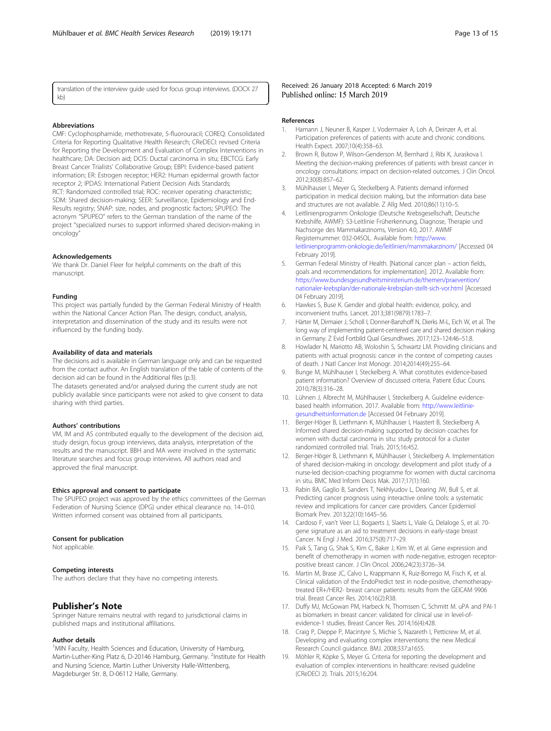<span id="page-12-0"></span>translation of the interview guide used for focus group interviews. (DOCX 27 kb)

# Abbreviations

CMF: Cyclophosphamide, methotrexate, 5-fluorouracil; COREQ: Consolidated Criteria for Reporting Qualitative Health Research; CReDECI: revised Criteria for Reporting the Development and Evaluation of Complex Interventions in healthcare; DA: Decision aid; DCIS: Ductal carcinoma in situ; EBCTCG: Early Breast Cancer Trialists' Collaborative Group; EBPI: Evidence-based patient information; ER: Estrogen receptor; HER2: Human epidermal growth factor receptor 2; IPDAS: International Patient Decision Aids Standards; RCT: Randomized controlled trial; ROC: receiver operating characteristic; SDM: Shared decision-making; SEER: Surveillance, Epidemiology and End-Results registry; SNAP: size, nodes, and prognostic factors; SPUPEO: The acronym "SPUPEO" refers to the German translation of the name of the project "specialized nurses to support informed shared decision-making in oncology"

## Acknowledgements

We thank Dr. Daniel Fleer for helpful comments on the draft of this manuscript.

#### Funding

This project was partially funded by the German Federal Ministry of Health within the National Cancer Action Plan. The design, conduct, analysis, interpretation and dissemination of the study and its results were not influenced by the funding body.

# Availability of data and materials

The decisions aid is available in German language only and can be requested from the contact author. An English translation of the table of contents of the decision aid can be found in the Additional files (p.3).

The datasets generated and/or analysed during the current study are not publicly available since participants were not asked to give consent to data sharing with third parties.

#### Authors' contributions

VM, IM and AS contributed equally to the development of the decision aid, study design, focus group interviews, data analysis, interpretation of the results and the manuscript. BBH and MA were involved in the systematic literature searches and focus group interviews. All authors read and approved the final manuscript.

#### Ethics approval and consent to participate

The SPUPEO project was approved by the ethics committees of the German Federation of Nursing Science (DPG) under ethical clearance no. 14–010. Written informed consent was obtained from all participants.

# Consent for publication

Not applicable.

#### Competing interests

The authors declare that they have no competing interests.

# Publisher's Note

Springer Nature remains neutral with regard to jurisdictional claims in published maps and institutional affiliations.

# Author details

<sup>1</sup>MIN Faculty, Health Sciences and Education, University of Hamburg, Martin-Luther-King Platz 6, D-20146 Hamburg, Germany. <sup>2</sup>Institute for Health and Nursing Science, Martin Luther University Halle-Wittenberg, Magdeburger Str. 8, D-06112 Halle, Germany.

Received: 26 January 2018 Accepted: 6 March 2019 Published online: 15 March 2019

## References

- 1. Hamann J, Neuner B, Kasper J, Vodermaier A, Loh A, Deinzer A, et al. Participation preferences of patients with acute and chronic conditions. Health Expect. 2007;10(4):358–63.
- 2. Brown R, Butow P, Wilson-Genderson M, Bernhard J, Ribi K, Juraskova I. Meeting the decision-making preferences of patients with breast cancer in oncology consultations: impact on decision-related outcomes. J Clin Oncol. 2012;30(8):857–62.
- 3. Mühlhauser I, Meyer G, Steckelberg A. Patients demand informed participation in medical decision making, but the information data base and structures are not available. Z Allg Med. 2010;86(11):10–5.
- 4. Leitlinienprogramm Onkologie (Deutsche Krebsgesellschaft, Deutsche Krebshilfe, AWMF): S3-Leitlinie Früherkennung, Diagnose, Therapie und Nachsorge des Mammakarzinoms, Version 4.0, 2017. AWMF Registernummer: 032-045OL. Available from: [http://www.](http://www.leitlinienprogramm-onkologie.de/leitlinien/mammakarzinom/) [leitlinienprogramm-onkologie.de/leitlinien/mammakarzinom/](http://www.leitlinienprogramm-onkologie.de/leitlinien/mammakarzinom/) [Accessed 04 February 2019].
- 5. German Federal Ministry of Health. [National cancer plan action fields, goals and recommendations for implementation]. 2012. Available from: [https://www.bundesgesundheitsministerium.de/themen/praevention/](https://www.bundesgesundheitsministerium.de/themen/praevention/nationaler-krebsplan/der-nationale-krebsplan-stellt-sich-vor.html) [nationaler-krebsplan/der-nationale-krebsplan-stellt-sich-vor.html](https://www.bundesgesundheitsministerium.de/themen/praevention/nationaler-krebsplan/der-nationale-krebsplan-stellt-sich-vor.html) [Accessed 04 February 2019].
- 6. Hawkes S, Buse K. Gender and global health: evidence, policy, and inconvenient truths. Lancet. 2013;381(9879):1783–7.
- 7. Härter M, Dirmaier J, Scholl I, Donner-Banzhoff N, Dierks M-L, Eich W, et al. The long way of implementing patient-centered care and shared decision making in Germany. Z Evid Fortbild Qual Gesundhwes. 2017;123–124:46–51.8.
- 8. Howlader N, Mariotto AB, Woloshin S, Schwartz LM. Providing clinicians and patients with actual prognosis: cancer in the context of competing causes of death. J Natl Cancer Inst Monogr. 2014;2014(49):255–64.
- 9. Bunge M, Mühlhauser I, Steckelberg A. What constitutes evidence-based patient information? Overview of discussed criteria. Patient Educ Couns. 2010;78(3):316–28.
- 10. Lühnen J, Albrecht M, Mühlhauser I, Steckelberg A. Guideline evidencebased health information. 2017. Available from: [http://www.leitlinie](http://www.leitlinie-gesundheitsinformation.de)[gesundheitsinformation.de](http://www.leitlinie-gesundheitsinformation.de) [Accessed 04 February 2019].
- 11. Berger-Höger B, Liethmann K, Mühlhauser I, Haastert B, Steckelberg A. Informed shared decision-making supported by decision coaches for women with ductal carcinoma in situ: study protocol for a cluster randomized controlled trial. Trials. 2015;16:452.
- 12. Berger-Höger B, Liethmann K, Mühlhauser I, Steckelberg A. Implementation of shared decision-making in oncology: development and pilot study of a nurse-led decision-coaching programme for women with ductal carcinoma in situ. BMC Med Inform Decis Mak. 2017;17(1):160.
- 13. Rabin BA, Gaglio B, Sanders T, Nekhlyudov L, Dearing JW, Bull S, et al. Predicting cancer prognosis using interactive online tools: a systematic review and implications for cancer care providers. Cancer Epidemiol Biomark Prev. 2013;22(10):1645–56.
- 14. Cardoso F, van't Veer LJ, Bogaerts J, Slaets L, Viale G, Delaloge S, et al. 70 gene signature as an aid to treatment decisions in early-stage breast Cancer. N Engl J Med. 2016;375(8):717–29.
- 15. Paik S, Tang G, Shak S, Kim C, Baker J, Kim W, et al. Gene expression and benefit of chemotherapy in women with node-negative, estrogen receptorpositive breast cancer. J Clin Oncol. 2006;24(23):3726–34.
- 16. Martin M, Brase JC, Calvo L, Krappmann K, Ruiz-Borrego M, Fisch K, et al. Clinical validation of the EndoPredict test in node-positive, chemotherapytreated ER+/HER2- breast cancer patients: results from the GEICAM 9906 trial. Breast Cancer Res. 2014;16(2):R38.
- 17. Duffy MJ, McGowan PM, Harbeck N, Thomssen C, Schmitt M. uPA and PAI-1 as biomarkers in breast cancer: validated for clinical use in level-ofevidence-1 studies. Breast Cancer Res. 2014;16(4):428.
- 18. Craig P, Dieppe P, Macintyre S, Michie S, Nazareth I, Petticrew M, et al. Developing and evaluating complex interventions: the new Medical Research Council guidance. BMJ. 2008;337:a1655.
- 19. Möhler R, Köpke S, Meyer G. Criteria for reporting the development and evaluation of complex interventions in healthcare: revised guideline (CReDECI 2). Trials. 2015;16:204.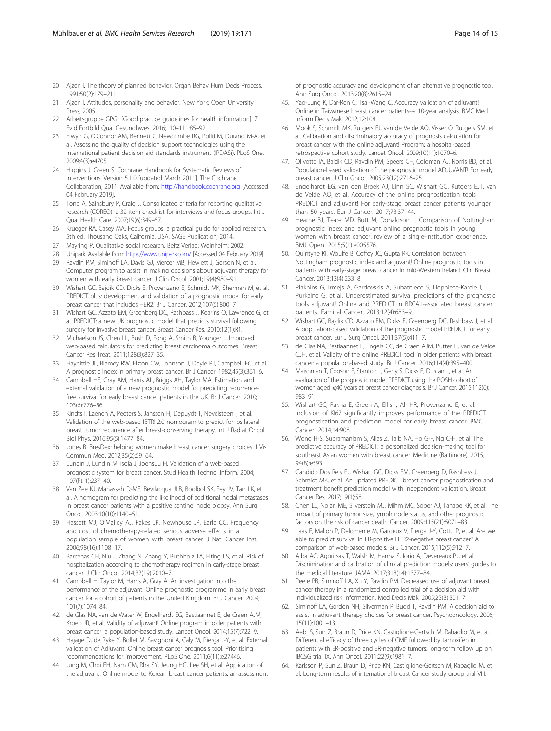- <span id="page-13-0"></span>20. Aizen I. The theory of planned behavior. Organ Behav Hum Decis Process. 1991;50(2):179–211.
- 21. Aizen I. Attitudes, personality and behavior. New York: Open University Press; 2005.
- 22. Arbeitsgruppe GPGI. [Good practice guidelines for health information]. Z Evid Fortbild Qual Gesundhwes. 2016;110–111:85–92.
- 23. Elwyn G, O'Connor AM, Bennett C, Newcombe RG, Politi M, Durand M-A, et al. Assessing the quality of decision support technologies using the international patient decision aid standards instrument (IPDASi). PLoS One. 2009;4(3):e4705.
- 24. Higgins J, Green S. Cochrane Handbook for Systematic Reviews of Interventions. Version 5.1.0 [updated March 2011]. The Cochrane Collaboration; 2011. Available from: <http://handbook.cochrane.org> [Accessed 04 February 2019].
- 25. Tong A, Sainsbury P, Craig J. Consolidated criteria for reporting qualitative research (COREQ): a 32-item checklist for interviews and focus groups. Int J Qual Health Care. 2007;19(6):349–57.
- 26. Krueger RA, Casey MA. Focus groups: a practical guide for applied research. 5th ed. Thousand Oaks, California, USA: SAGE Publication; 2014.
- 27. Mayring P. Qualitative social research. Beltz Verlag: Weinheim; 2002.
- 28. Unipark. Available from: <https://www.unipark.com/> [Accessed 04 February 2019].
- 29. Ravdin PM, Siminoff LA, Davis GJ, Mercer MB, Hewlett J, Gerson N, et al. Computer program to assist in making decisions about adjuvant therapy for women with early breast cancer. J Clin Oncol. 2001;19(4):980–91.
- 30. Wishart GC, Bajdik CD, Dicks E, Provenzano E, Schmidt MK, Sherman M, et al. PREDICT plus: development and validation of a prognostic model for early breast cancer that includes HER2. Br J Cancer. 2012;107(5):800–7.
- 31. Wishart GC, Azzato EM, Greenberg DC, Rashbass J, Kearins O, Lawrence G, et al. PREDICT: a new UK prognostic model that predicts survival following surgery for invasive breast cancer. Breast Cancer Res. 2010;12(1):R1.
- 32. Michaelson JS, Chen LL, Bush D, Fong A, Smith B, Younger J. Improved web-based calculators for predicting breast carcinoma outcomes. Breast Cancer Res Treat. 2011;128(3):827–35.
- 33. Haybittle JL, Blamey RW, Elston CW, Johnson J, Doyle PJ, Campbell FC, et al. A prognostic index in primary breast cancer. Br J Cancer. 1982;45(3):361–6.
- 34. Campbell HE, Gray AM, Harris AL, Briggs AH, Taylor MA. Estimation and external validation of a new prognostic model for predicting recurrencefree survival for early breast cancer patients in the UK. Br J Cancer. 2010; 103(6):776–86.
- 35. Kindts I, Laenen A, Peeters S, Janssen H, Depuydt T, Nevelsteen I, et al. Validation of the web-based IBTR! 2.0 nomogram to predict for ipsilateral breast tumor recurrence after breast-conserving therapy. Int J Radiat Oncol Biol Phys. 2016;95(5):1477–84.
- 36. Jones B. BresDex: helping women make breast cancer surgery choices. J Vis Commun Med. 2012;35(2):59–64.
- 37. Lundin J, Lundin M, Isola J, Joensuu H. Validation of a web-based prognostic system for breast cancer. Stud Health Technol Inform. 2004; 107(Pt 1):237–40.
- 38. Van Zee KJ, Manasseh D-ME, Bevilacqua JLB, Boolbol SK, Fey JV, Tan LK, et al. A nomogram for predicting the likelihood of additional nodal metastases in breast cancer patients with a positive sentinel node biopsy. Ann Surg Oncol. 2003;10(10):1140–51.
- 39. Hassett MJ, O'Malley AJ, Pakes JR, Newhouse JP, Earle CC. Frequency and cost of chemotherapy-related serious adverse effects in a population sample of women with breast cancer. J Natl Cancer Inst. 2006;98(16):1108–17.
- 40. Barcenas CH, Niu J, Zhang N, Zhang Y, Buchholz TA, Elting LS, et al. Risk of hospitalization according to chemotherapy regimen in early-stage breast cancer. J Clin Oncol. 2014;32(19):2010–7.
- 41. Campbell H, Taylor M, Harris A, Gray A. An investigation into the performance of the adjuvant! Online prognostic programme in early breast cancer for a cohort of patients in the United Kingdom. Br J Cancer. 2009; 101(7):1074–84.
- 42. de Glas NA, van de Water W, Engelhardt EG, Bastiaannet E, de Craen AJM, Kroep JR, et al. Validity of adjuvant! Online program in older patients with breast cancer: a population-based study. Lancet Oncol. 2014;15(7):722–9.
- 43. Hajage D, de Ryke Y, Bollet M, Savignoni A, Caly M, Pierga J-Y, et al. External validation of Adjuvant! Online breast cancer prognosis tool. Prioritising recommendations for improvement. PLoS One. 2011;6(11):e27446.
- 44. Jung M, Choi EH, Nam CM, Rha SY, Jeung HC, Lee SH, et al. Application of the adjuvant! Online model to Korean breast cancer patients: an assessment

of prognostic accuracy and development of an alternative prognostic tool. Ann Surg Oncol. 2013;20(8):2615–24.

- 45. Yao-Lung K, Dar-Ren C, Tsai-Wang C. Accuracy validation of adjuvant! Online in Taiwanese breast cancer patients--a 10-year analysis. BMC Med Inform Decis Mak. 2012;12:108.
- 46. Mook S, Schmidt MK, Rutgers EJ, van de Velde AO, Visser O, Rutgers SM, et al. Calibration and discriminatory accuracy of prognosis calculation for breast cancer with the online adjuvant! Program: a hospital-based retrospective cohort study. Lancet Oncol. 2009;10(11):1070–6.
- 47. Olivotto IA, Bajdik CD, Ravdin PM, Speers CH, Coldman AJ, Norris BD, et al. Population-based validation of the prognostic model ADJUVANT! For early breast cancer. J Clin Oncol. 2005;23(12):2716–25.
- 48. Engelhardt EG, van den Broek AJ, Linn SC, Wishart GC, Rutgers EJT, van de Velde AO, et al. Accuracy of the online prognostication tools PREDICT and adjuvant! For early-stage breast cancer patients younger than 50 years. Eur J Cancer. 2017;78:37–44.
- 49. Hearne BJ, Teare MD, Butt M, Donaldson L. Comparison of Nottingham prognostic index and adjuvant online prognostic tools in young women with breast cancer: review of a single-institution experience. BMJ Open. 2015;5(1):e005576.
- 50. Quintyne KI, Woulfe B, Coffey JC, Gupta RK. Correlation between Nottingham prognostic index and adjuvant! Online prognostic tools in patients with early-stage breast cancer in mid-Western Ireland. Clin Breast Cancer. 2013;13(4):233–8.
- 51. Plakhins G, Irmejs A, Gardovskis A, Subatniece S, Liepniece-Karele I, Purkalne G, et al. Underestimated survival predictions of the prognostic tools adjuvant! Online and PREDICT in BRCA1-associated breast cancer patients. Familial Cancer. 2013;12(4):683–9.
- 52. Wishart GC, Bajdik CD, Azzato EM, Dicks E, Greenberg DC, Rashbass J, et al. A population-based validation of the prognostic model PREDICT for early breast cancer. Eur J Surg Oncol. 2011;37(5):411–7.
- 53. de Glas NA, Bastiaannet E, Engels CC, de Craen AJM, Putter H, van de Velde CJH, et al. Validity of the online PREDICT tool in older patients with breast cancer: a population-based study. Br J Cancer. 2016;114(4):395–400.
- 54. Maishman T, Copson E, Stanton L, Gerty S, Dicks E, Durcan L, et al. An evaluation of the prognostic model PREDICT using the POSH cohort of women aged <40 years at breast cancer diagnosis. Br J Cancer. 2015;112(6): 983–91.
- 55. Wishart GC, Rakha E, Green A, Ellis I, Ali HR, Provenzano E, et al. Inclusion of KI67 significantly improves performance of the PREDICT prognostication and prediction model for early breast cancer. BMC Cancer. 2014;14:908.
- 56. Wong H-S, Subramaniam S, Alias Z, Taib NA, Ho G-F, Ng C-H, et al. The predictive accuracy of PREDICT: a personalized decision-making tool for southeast Asian women with breast cancer. Medicine (Baltimore). 2015; 94(8):e593.
- 57. Candido Dos Reis FJ, Wishart GC, Dicks EM, Greenberg D, Rashbass J, Schmidt MK, et al. An updated PREDICT breast cancer prognostication and treatment benefit prediction model with independent validation. Breast Cancer Res. 2017;19(1):58.
- 58. Chen LL, Nolan ME, Silverstein MJ, Mihm MC, Sober AJ, Tanabe KK, et al. The impact of primary tumor size, lymph node status, and other prognostic factors on the risk of cancer death. Cancer. 2009;115(21):5071–83.
- 59. Laas E, Mallon P, Delomenie M, Gardeux V, Pierga J-Y, Cottu P, et al. Are we able to predict survival in ER-positive HER2-negative breast cancer? A comparison of web-based models. Br J Cancer. 2015;112(5):912–7.
- 60. Alba AC, Agoritsas T, Walsh M, Hanna S, Iorio A, Devereaux PJ, et al. Discrimination and calibration of clinical prediction models: users' guides to the medical literature. JAMA. 2017;318(14):1377–84.
- 61. Peele PB, Siminoff LA, Xu Y, Ravdin PM. Decreased use of adjuvant breast cancer therapy in a randomized controlled trial of a decision aid with individualized risk information. Med Decis Mak. 2005;25(3):301–7.
- 62. Siminoff LA, Gordon NH, Silverman P, Budd T, Ravdin PM. A decision aid to assist in adjuvant therapy choices for breast cancer. Psychooncology. 2006; 15(11):1001–13.
- 63. Aebi S, Sun Z, Braun D, Price KN, Castiglione-Gertsch M, Rabaglio M, et al. Differential efficacy of three cycles of CMF followed by tamoxifen in patients with ER-positive and ER-negative tumors: long-term follow up on IBCSG trial IX. Ann Oncol. 2011;22(9):1981–7.
- 64. Karlsson P, Sun Z, Braun D, Price KN, Castiglione-Gertsch M, Rabaglio M, et al. Long-term results of international breast Cancer study group trial VIII: